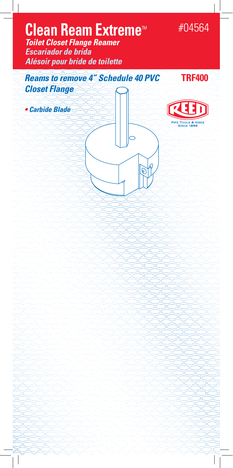